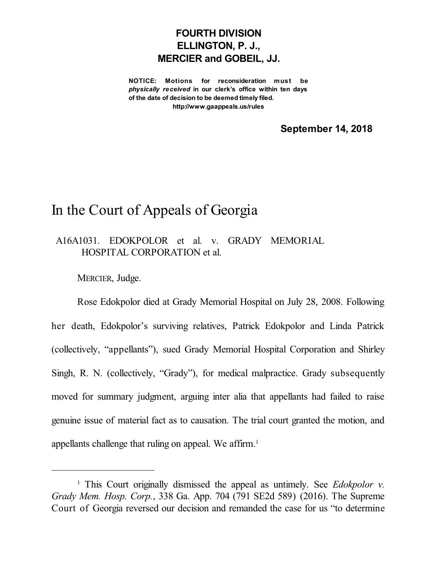## **FOURTH DIVISION ELLINGTON, P. J., MERCIER and GOBEIL, JJ.**

**NOTICE: Motions for reconsideration must be** *physically received* **in our clerk's office within ten days of the date of decision to be deemed timely filed. http://www.gaappeals.us/rules**

**September 14, 2018**

## In the Court of Appeals of Georgia

A16A1031. EDOKPOLOR et al. v. GRADY MEMORIAL HOSPITAL CORPORATION et al.

MERCIER, Judge.

Rose Edokpolor died at Grady Memorial Hospital on July 28, 2008. Following her death, Edokpolor's surviving relatives, Patrick Edokpolor and Linda Patrick (collectively, "appellants"), sued Grady Memorial Hospital Corporation and Shirley Singh, R. N. (collectively, "Grady"), for medical malpractice. Grady subsequently moved for summary judgment, arguing inter alia that appellants had failed to raise genuine issue of material fact as to causation. The trial court granted the motion, and appellants challenge that ruling on appeal. We affirm. 1

<sup>1</sup> This Court originally dismissed the appeal as untimely. See *Edokpolor v. Grady Mem. Hosp. Corp.*, 338 Ga. App. 704 (791 SE2d 589) (2016). The Supreme Court of Georgia reversed our decision and remanded the case for us "to determine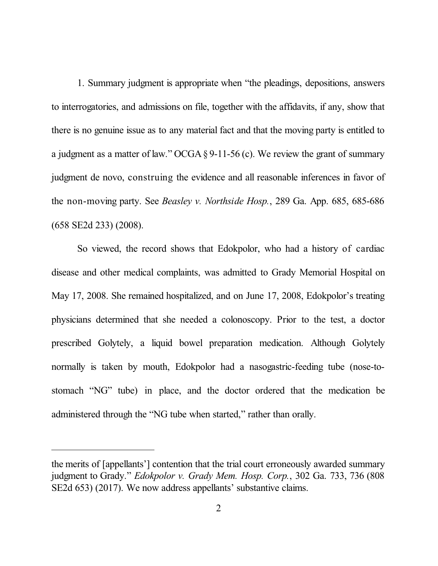1. Summary judgment is appropriate when "the pleadings, depositions, answers to interrogatories, and admissions on file, together with the affidavits, if any, show that there is no genuine issue as to any material fact and that the moving party is entitled to a judgment as a matter of law." OCGA  $\S 9$ -11-56 (c). We review the grant of summary judgment de novo, construing the evidence and all reasonable inferences in favor of the non-moving party. See *Beasley v. Northside Hosp.*, 289 Ga. App. 685, 685-686 (658 SE2d 233) (2008).

So viewed, the record shows that Edokpolor, who had a history of cardiac disease and other medical complaints, was admitted to Grady Memorial Hospital on May 17, 2008. She remained hospitalized, and on June 17, 2008, Edokpolor's treating physicians determined that she needed a colonoscopy. Prior to the test, a doctor prescribed Golytely, a liquid bowel preparation medication. Although Golytely normally is taken by mouth, Edokpolor had a nasogastric-feeding tube (nose-tostomach "NG" tube) in place, and the doctor ordered that the medication be administered through the "NG tube when started," rather than orally.

the merits of [appellants'] contention that the trial court erroneously awarded summary judgment to Grady." *Edokpolor v. Grady Mem. Hosp. Corp.*, 302 Ga. 733, 736 (808 SE2d 653) (2017). We now address appellants' substantive claims.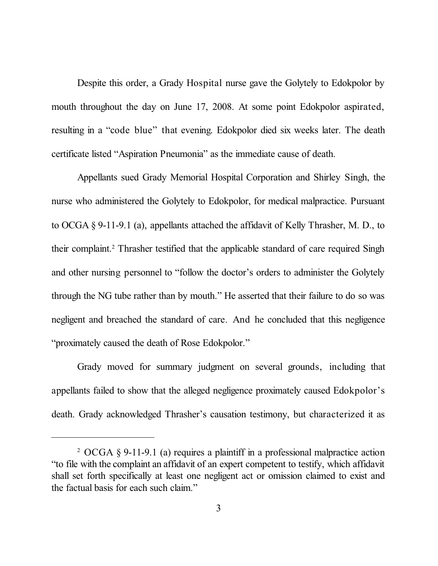Despite this order, a Grady Hospital nurse gave the Golytely to Edokpolor by mouth throughout the day on June 17, 2008. At some point Edokpolor aspirated, resulting in a "code blue" that evening. Edokpolor died six weeks later. The death certificate listed "Aspiration Pneumonia" as the immediate cause of death.

Appellants sued Grady Memorial Hospital Corporation and Shirley Singh, the nurse who administered the Golytely to Edokpolor, for medical malpractice. Pursuant to OCGA § 9-11-9.1 (a), appellants attached the affidavit of Kelly Thrasher, M. D., to their complaint. <sup>2</sup> Thrasher testified that the applicable standard of care required Singh and other nursing personnel to "follow the doctor's orders to administer the Golytely through the NG tube rather than by mouth." He asserted that their failure to do so was negligent and breached the standard of care. And he concluded that this negligence "proximately caused the death of Rose Edokpolor."

Grady moved for summary judgment on several grounds, including that appellants failed to show that the alleged negligence proximately caused Edokpolor's death. Grady acknowledged Thrasher's causation testimony, but characterized it as

<sup>2</sup> OCGA § 9-11-9.1 (a) requires a plaintiff in a professional malpractice action "to file with the complaint an affidavit of an expert competent to testify, which affidavit shall set forth specifically at least one negligent act or omission claimed to exist and the factual basis for each such claim."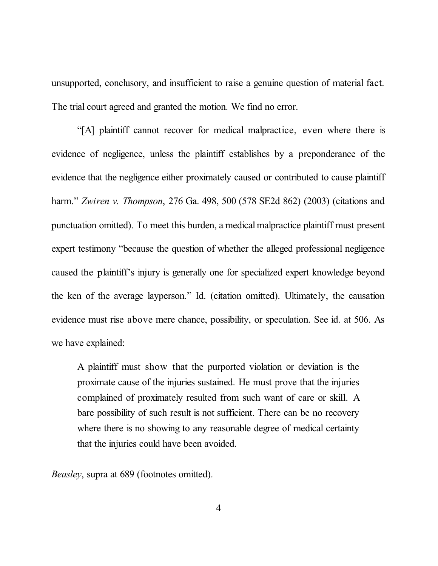unsupported, conclusory, and insufficient to raise a genuine question of material fact. The trial court agreed and granted the motion. We find no error.

"[A] plaintiff cannot recover for medical malpractice, even where there is evidence of negligence, unless the plaintiff establishes by a preponderance of the evidence that the negligence either proximately caused or contributed to cause plaintiff harm." *Zwiren v. Thompson*, 276 Ga. 498, 500 (578 SE2d 862) (2003) (citations and punctuation omitted). To meet this burden, a medicalmalpractice plaintiff must present expert testimony "because the question of whether the alleged professional negligence caused the plaintiff's injury is generally one for specialized expert knowledge beyond the ken of the average layperson." Id. (citation omitted). Ultimately, the causation evidence must rise above mere chance, possibility, or speculation. See id. at 506. As we have explained:

A plaintiff must show that the purported violation or deviation is the proximate cause of the injuries sustained. He must prove that the injuries complained of proximately resulted from such want of care or skill. A bare possibility of such result is not sufficient. There can be no recovery where there is no showing to any reasonable degree of medical certainty that the injuries could have been avoided.

*Beasley*, supra at 689 (footnotes omitted).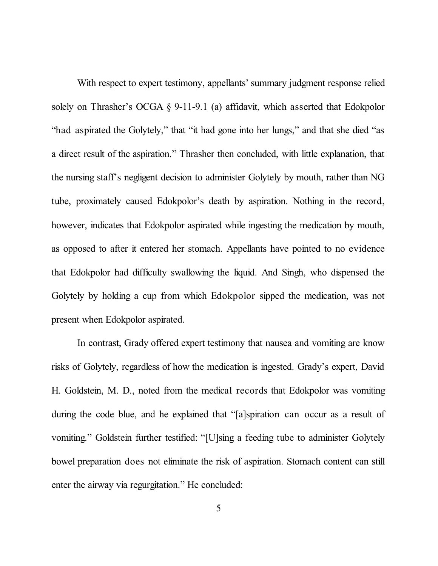With respect to expert testimony, appellants' summary judgment response relied solely on Thrasher's OCGA § 9-11-9.1 (a) affidavit, which asserted that Edokpolor "had aspirated the Golytely," that "it had gone into her lungs," and that she died "as a direct result of the aspiration." Thrasher then concluded, with little explanation, that the nursing staff's negligent decision to administer Golytely by mouth, rather than NG tube, proximately caused Edokpolor's death by aspiration. Nothing in the record, however, indicates that Edokpolor aspirated while ingesting the medication by mouth, as opposed to after it entered her stomach. Appellants have pointed to no evidence that Edokpolor had difficulty swallowing the liquid. And Singh, who dispensed the Golytely by holding a cup from which Edokpolor sipped the medication, was not present when Edokpolor aspirated.

In contrast, Grady offered expert testimony that nausea and vomiting are know risks of Golytely, regardless of how the medication is ingested. Grady's expert, David H. Goldstein, M. D., noted from the medical records that Edokpolor was vomiting during the code blue, and he explained that "[a]spiration can occur as a result of vomiting." Goldstein further testified: "[U]sing a feeding tube to administer Golytely bowel preparation does not eliminate the risk of aspiration. Stomach content can still enter the airway via regurgitation." He concluded: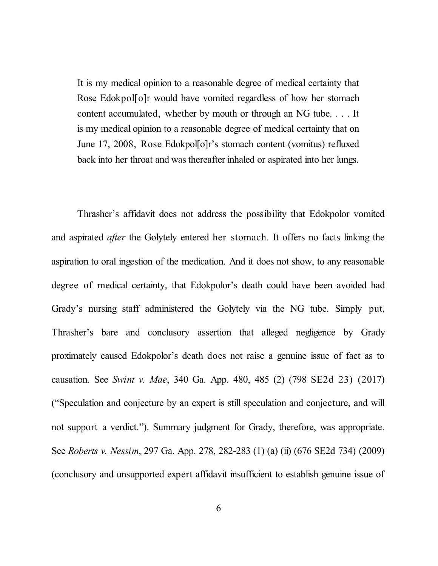It is my medical opinion to a reasonable degree of medical certainty that Rose Edokpol[o]r would have vomited regardless of how her stomach content accumulated, whether by mouth or through an NG tube. . . . It is my medical opinion to a reasonable degree of medical certainty that on June 17, 2008, Rose Edokpol[o]r's stomach content (vomitus) refluxed back into her throat and was thereafter inhaled or aspirated into her lungs.

Thrasher's affidavit does not address the possibility that Edokpolor vomited and aspirated *after* the Golytely entered her stomach. It offers no facts linking the aspiration to oral ingestion of the medication. And it does not show, to any reasonable degree of medical certainty, that Edokpolor's death could have been avoided had Grady's nursing staff administered the Golytely via the NG tube. Simply put, Thrasher's bare and conclusory assertion that alleged negligence by Grady proximately caused Edokpolor's death does not raise a genuine issue of fact as to causation. See *Swint v. Mae*, 340 Ga. App. 480, 485 (2) (798 SE2d 23) (2017) ("Speculation and conjecture by an expert is still speculation and conjecture, and will not support a verdict."). Summary judgment for Grady, therefore, was appropriate. See *Roberts v. Nessim*, 297 Ga. App. 278, 282-283 (1) (a) (ii) (676 SE2d 734) (2009) (conclusory and unsupported expert affidavit insufficient to establish genuine issue of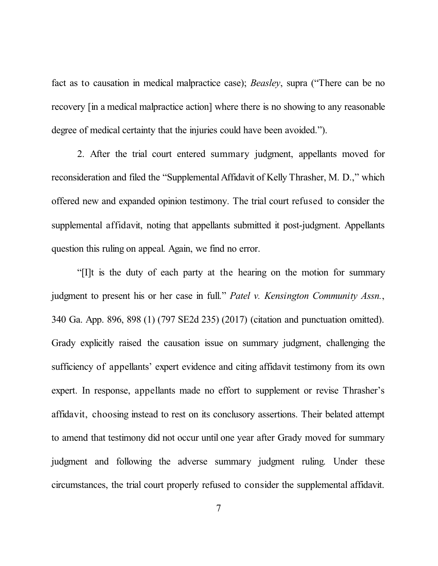fact as to causation in medical malpractice case); *Beasley*, supra ("There can be no recovery [in a medical malpractice action] where there is no showing to any reasonable degree of medical certainty that the injuries could have been avoided.").

2. After the trial court entered summary judgment, appellants moved for reconsideration and filed the "Supplemental Affidavit of Kelly Thrasher, M. D.," which offered new and expanded opinion testimony. The trial court refused to consider the supplemental affidavit, noting that appellants submitted it post-judgment. Appellants question this ruling on appeal. Again, we find no error.

"[I]t is the duty of each party at the hearing on the motion for summary judgment to present his or her case in full." *Patel v. Kensington Community Assn.*, 340 Ga. App. 896, 898 (1) (797 SE2d 235) (2017) (citation and punctuation omitted). Grady explicitly raised the causation issue on summary judgment, challenging the sufficiency of appellants' expert evidence and citing affidavit testimony from its own expert. In response, appellants made no effort to supplement or revise Thrasher's affidavit, choosing instead to rest on its conclusory assertions. Their belated attempt to amend that testimony did not occur until one year after Grady moved for summary judgment and following the adverse summary judgment ruling. Under these circumstances, the trial court properly refused to consider the supplemental affidavit.